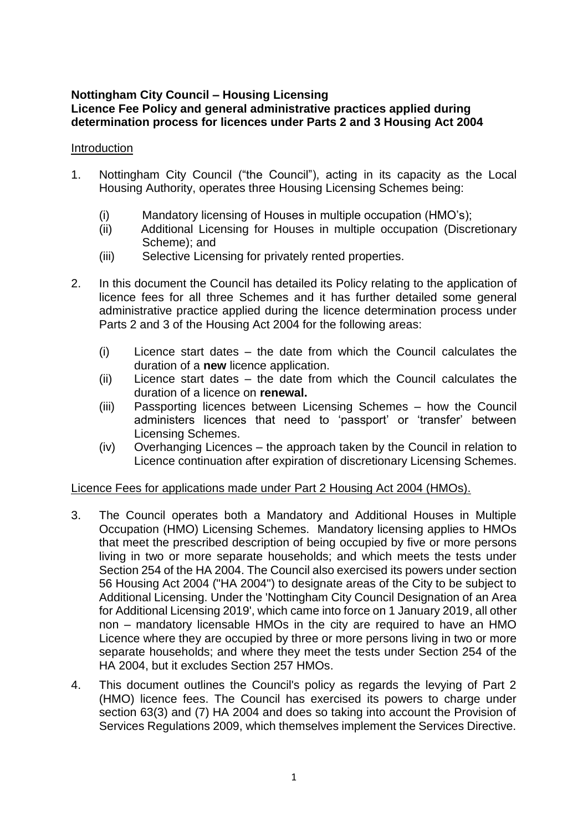### **Nottingham City Council – Housing Licensing Licence Fee Policy and general administrative practices applied during determination process for licences under Parts 2 and 3 Housing Act 2004**

### Introduction

- 1. Nottingham City Council ("the Council"), acting in its capacity as the Local Housing Authority, operates three Housing Licensing Schemes being:
	- (i) Mandatory licensing of Houses in multiple occupation (HMO's);
	- (ii) Additional Licensing for Houses in multiple occupation (Discretionary Scheme); and
	- (iii) Selective Licensing for privately rented properties.
- 2. In this document the Council has detailed its Policy relating to the application of licence fees for all three Schemes and it has further detailed some general administrative practice applied during the licence determination process under Parts 2 and 3 of the Housing Act 2004 for the following areas:
	- (i) Licence start dates the date from which the Council calculates the duration of a **new** licence application.
	- (ii) Licence start dates the date from which the Council calculates the duration of a licence on **renewal.**
	- (iii) Passporting licences between Licensing Schemes how the Council administers licences that need to 'passport' or 'transfer' between Licensing Schemes.
	- (iv) Overhanging Licences the approach taken by the Council in relation to Licence continuation after expiration of discretionary Licensing Schemes.

# Licence Fees for applications made under Part 2 Housing Act 2004 (HMOs).

- 3. The Council operates both a Mandatory and Additional Houses in Multiple Occupation (HMO) Licensing Schemes. Mandatory licensing applies to HMOs that meet the prescribed description of being occupied by five or more persons living in two or more separate households; and which meets the tests under Section 254 of the HA 2004. The Council also exercised its powers under section 56 Housing Act 2004 ("HA 2004") to designate areas of the City to be subject to Additional Licensing. Under the 'Nottingham City Council Designation of an Area for Additional Licensing 2019', which came into force on 1 January 2019, all other non – mandatory licensable HMOs in the city are required to have an HMO Licence where they are occupied by three or more persons living in two or more separate households; and where they meet the tests under Section 254 of the HA 2004, but it excludes Section 257 HMOs.
- 4. This document outlines the Council's policy as regards the levying of Part 2 (HMO) licence fees. The Council has exercised its powers to charge under section 63(3) and (7) HA 2004 and does so taking into account the Provision of Services Regulations 2009, which themselves implement the Services Directive.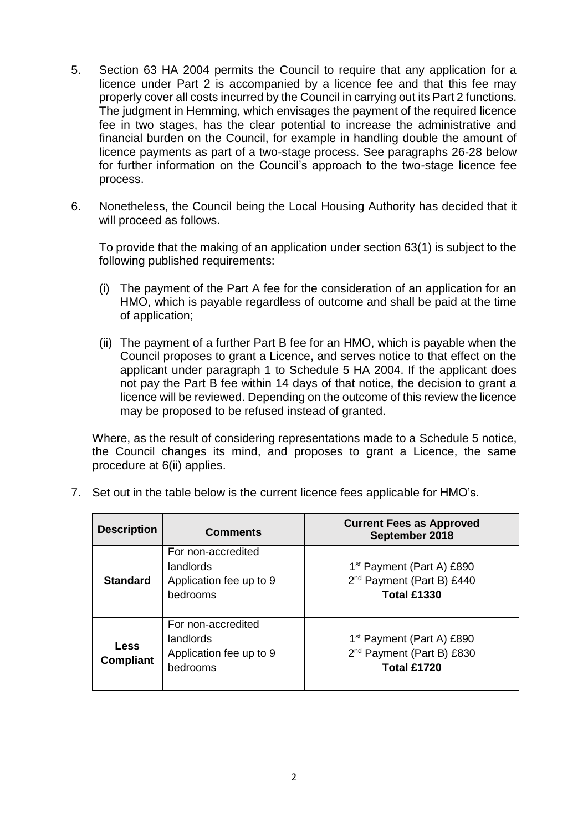- 5. Section 63 HA 2004 permits the Council to require that any application for a licence under Part 2 is accompanied by a licence fee and that this fee may properly cover all costs incurred by the Council in carrying out its Part 2 functions. The judgment in Hemming, which envisages the payment of the required licence fee in two stages, has the clear potential to increase the administrative and financial burden on the Council, for example in handling double the amount of licence payments as part of a two-stage process. See paragraphs 26-28 below for further information on the Council's approach to the two-stage licence fee process.
- 6. Nonetheless, the Council being the Local Housing Authority has decided that it will proceed as follows.

To provide that the making of an application under section 63(1) is subject to the following published requirements:

- (i) The payment of the Part A fee for the consideration of an application for an HMO, which is payable regardless of outcome and shall be paid at the time of application;
- (ii) The payment of a further Part B fee for an HMO, which is payable when the Council proposes to grant a Licence, and serves notice to that effect on the applicant under paragraph 1 to Schedule 5 HA 2004. If the applicant does not pay the Part B fee within 14 days of that notice, the decision to grant a licence will be reviewed. Depending on the outcome of this review the licence may be proposed to be refused instead of granted.

Where, as the result of considering representations made to a Schedule 5 notice, the Council changes its mind, and proposes to grant a Licence, the same procedure at 6(ii) applies.

| <b>Description</b>       | <b>Comments</b>                                                        | <b>Current Fees as Approved</b><br>September 2018                                                    |  |
|--------------------------|------------------------------------------------------------------------|------------------------------------------------------------------------------------------------------|--|
| <b>Standard</b>          | For non-accredited<br>landlords<br>Application fee up to 9<br>bedrooms | 1 <sup>st</sup> Payment (Part A) £890<br>2 <sup>nd</sup> Payment (Part B) £440<br><b>Total £1330</b> |  |
| Less<br><b>Compliant</b> | For non-accredited<br>landlords<br>Application fee up to 9<br>bedrooms | 1 <sup>st</sup> Payment (Part A) £890<br>2 <sup>nd</sup> Payment (Part B) £830<br><b>Total £1720</b> |  |

7. Set out in the table below is the current licence fees applicable for HMO's.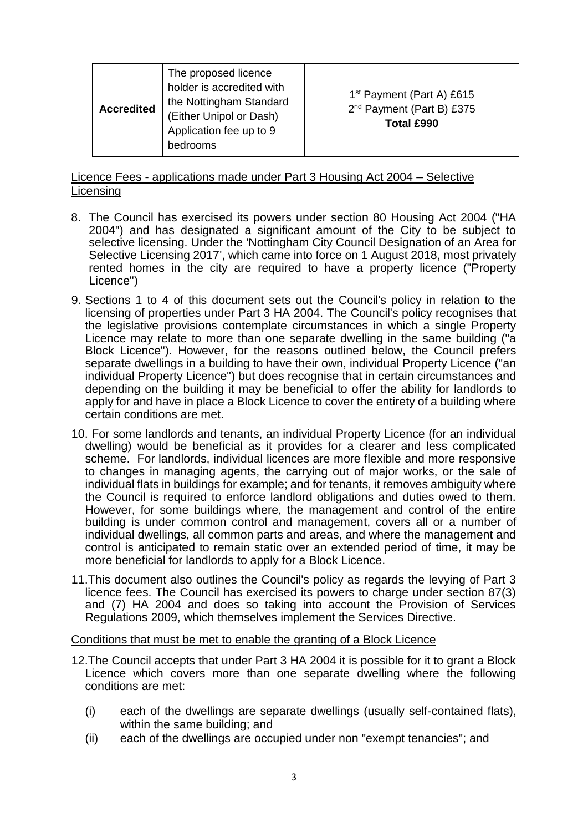| <b>Accredited</b> | The proposed licence<br>holder is accredited with<br>the Nottingham Standard<br>(Either Unipol or Dash)<br>Application fee up to 9<br>bedrooms | 1 <sup>st</sup> Payment (Part A) £615<br>2 <sup>nd</sup> Payment (Part B) £375<br>Total £990 |
|-------------------|------------------------------------------------------------------------------------------------------------------------------------------------|----------------------------------------------------------------------------------------------|
|-------------------|------------------------------------------------------------------------------------------------------------------------------------------------|----------------------------------------------------------------------------------------------|

### Licence Fees - applications made under Part 3 Housing Act 2004 – Selective Licensing

- 8. The Council has exercised its powers under section 80 Housing Act 2004 ("HA 2004") and has designated a significant amount of the City to be subject to selective licensing. Under the 'Nottingham City Council Designation of an Area for Selective Licensing 2017', which came into force on 1 August 2018, most privately rented homes in the city are required to have a property licence ("Property Licence")
- 9. Sections 1 to 4 of this document sets out the Council's policy in relation to the licensing of properties under Part 3 HA 2004. The Council's policy recognises that the legislative provisions contemplate circumstances in which a single Property Licence may relate to more than one separate dwelling in the same building ("a Block Licence"). However, for the reasons outlined below, the Council prefers separate dwellings in a building to have their own, individual Property Licence ("an individual Property Licence") but does recognise that in certain circumstances and depending on the building it may be beneficial to offer the ability for landlords to apply for and have in place a Block Licence to cover the entirety of a building where certain conditions are met.
- 10. For some landlords and tenants, an individual Property Licence (for an individual dwelling) would be beneficial as it provides for a clearer and less complicated scheme. For landlords, individual licences are more flexible and more responsive to changes in managing agents, the carrying out of major works, or the sale of individual flats in buildings for example; and for tenants, it removes ambiguity where the Council is required to enforce landlord obligations and duties owed to them. However, for some buildings where, the management and control of the entire building is under common control and management, covers all or a number of individual dwellings, all common parts and areas, and where the management and control is anticipated to remain static over an extended period of time, it may be more beneficial for landlords to apply for a Block Licence.
- 11.This document also outlines the Council's policy as regards the levying of Part 3 licence fees. The Council has exercised its powers to charge under section 87(3) and (7) HA 2004 and does so taking into account the Provision of Services Regulations 2009, which themselves implement the Services Directive.

#### Conditions that must be met to enable the granting of a Block Licence

- 12.The Council accepts that under Part 3 HA 2004 it is possible for it to grant a Block Licence which covers more than one separate dwelling where the following conditions are met:
	- (i) each of the dwellings are separate dwellings (usually self-contained flats), within the same building; and
	- (ii) each of the dwellings are occupied under non "exempt tenancies"; and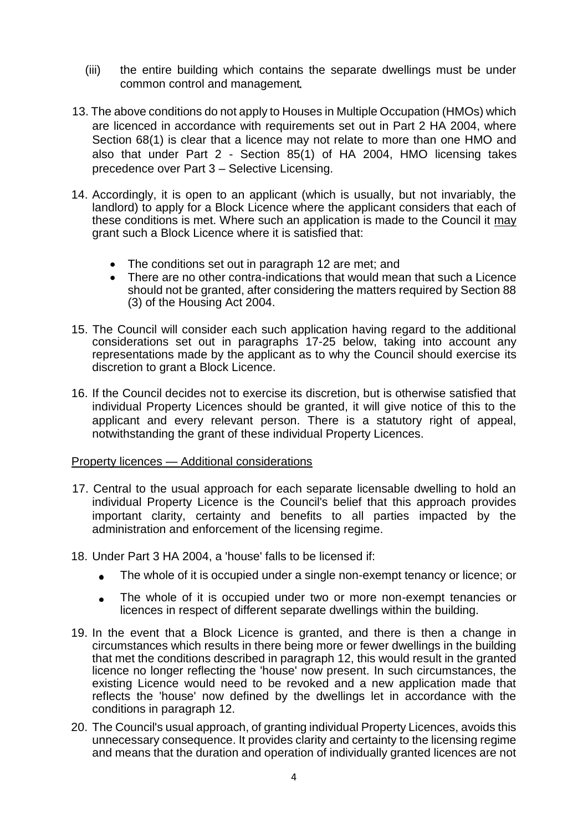- (iii) the entire building which contains the separate dwellings must be under common control and management
- 13. The above conditions do not apply to Houses in Multiple Occupation (HMOs) which are licenced in accordance with requirements set out in Part 2 HA 2004, where Section 68(1) is clear that a licence may not relate to more than one HMO and also that under Part 2 - Section 85(1) of HA 2004, HMO licensing takes precedence over Part 3 – Selective Licensing.
- 14. Accordingly, it is open to an applicant (which is usually, but not invariably, the landlord) to apply for a Block Licence where the applicant considers that each of these conditions is met. Where such an application is made to the Council it may grant such a Block Licence where it is satisfied that:
	- The conditions set out in paragraph 12 are met; and
	- There are no other contra-indications that would mean that such a Licence should not be granted, after considering the matters required by Section 88 (3) of the Housing Act 2004.
- 15. The Council will consider each such application having regard to the additional considerations set out in paragraphs 17-25 below, taking into account any representations made by the applicant as to why the Council should exercise its discretion to grant a Block Licence.
- 16. If the Council decides not to exercise its discretion, but is otherwise satisfied that individual Property Licences should be granted, it will give notice of this to the applicant and every relevant person. There is a statutory right of appeal, notwithstanding the grant of these individual Property Licences.

#### Property licences — Additional considerations

- 17. Central to the usual approach for each separate licensable dwelling to hold an individual Property Licence is the Council's belief that this approach provides important clarity, certainty and benefits to all parties impacted by the administration and enforcement of the licensing regime.
- 18. Under Part 3 HA 2004, a 'house' falls to be licensed if:
	- The whole of it is occupied under a single non-exempt tenancy or licence; or  $\bullet$
	- The whole of it is occupied under two or more non-exempt tenancies or  $\bullet$ licences in respect of different separate dwellings within the building.
- 19. In the event that a Block Licence is granted, and there is then a change in circumstances which results in there being more or fewer dwellings in the building that met the conditions described in paragraph 12, this would result in the granted licence no longer reflecting the 'house' now present. In such circumstances, the existing Licence would need to be revoked and a new application made that reflects the 'house' now defined by the dwellings let in accordance with the conditions in paragraph 12.
- 20. The Council's usual approach, of granting individual Property Licences, avoids this unnecessary consequence. It provides clarity and certainty to the licensing regime and means that the duration and operation of individually granted licences are not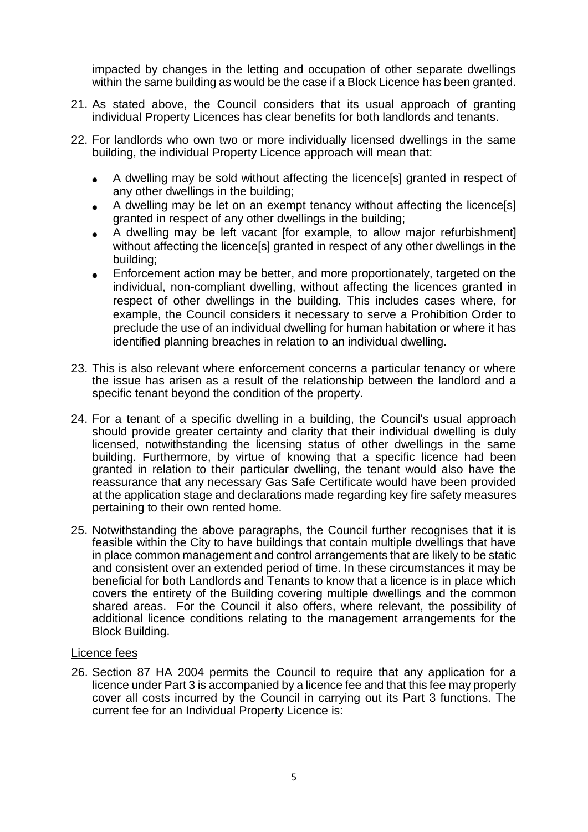impacted by changes in the letting and occupation of other separate dwellings within the same building as would be the case if a Block Licence has been granted.

- 21. As stated above, the Council considers that its usual approach of granting individual Property Licences has clear benefits for both landlords and tenants.
- 22. For landlords who own two or more individually licensed dwellings in the same building, the individual Property Licence approach will mean that:
	- A dwelling may be sold without affecting the licence[s] granted in respect of  $\bullet$ any other dwellings in the building;
	- A dwelling may be let on an exempt tenancy without affecting the licence[s] granted in respect of any other dwellings in the building;
	- A dwelling may be left vacant [for example, to allow major refurbishment] without affecting the licence[s] granted in respect of any other dwellings in the building;
	- Enforcement action may be better, and more proportionately, targeted on the individual, non-compliant dwelling, without affecting the licences granted in respect of other dwellings in the building. This includes cases where, for example, the Council considers it necessary to serve a Prohibition Order to preclude the use of an individual dwelling for human habitation or where it has identified planning breaches in relation to an individual dwelling.
- 23. This is also relevant where enforcement concerns a particular tenancy or where the issue has arisen as a result of the relationship between the landlord and a specific tenant beyond the condition of the property.
- 24. For a tenant of a specific dwelling in a building, the Council's usual approach should provide greater certainty and clarity that their individual dwelling is duly licensed, notwithstanding the licensing status of other dwellings in the same building. Furthermore, by virtue of knowing that a specific licence had been granted in relation to their particular dwelling, the tenant would also have the reassurance that any necessary Gas Safe Certificate would have been provided at the application stage and declarations made regarding key fire safety measures pertaining to their own rented home.
- 25. Notwithstanding the above paragraphs, the Council further recognises that it is feasible within the City to have buildings that contain multiple dwellings that have in place common management and control arrangements that are likely to be static and consistent over an extended period of time. In these circumstances it may be beneficial for both Landlords and Tenants to know that a licence is in place which covers the entirety of the Building covering multiple dwellings and the common shared areas. For the Council it also offers, where relevant, the possibility of additional licence conditions relating to the management arrangements for the Block Building.

### Licence fees

26. Section 87 HA 2004 permits the Council to require that any application for a licence under Part 3 is accompanied by a licence fee and that this fee may properly cover all costs incurred by the Council in carrying out its Part 3 functions. The current fee for an Individual Property Licence is: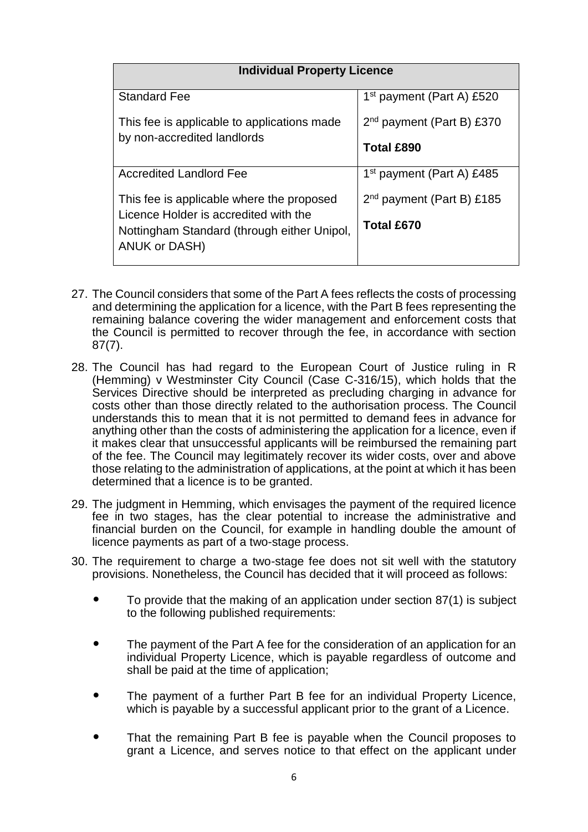| <b>Individual Property Licence</b>                                                 |                                       |  |  |
|------------------------------------------------------------------------------------|---------------------------------------|--|--|
| <b>Standard Fee</b>                                                                | 1 <sup>st</sup> payment (Part A) £520 |  |  |
| This fee is applicable to applications made<br>by non-accredited landlords         | $2nd$ payment (Part B) £370           |  |  |
|                                                                                    | <b>Total £890</b>                     |  |  |
| <b>Accredited Landlord Fee</b>                                                     | 1 <sup>st</sup> payment (Part A) £485 |  |  |
| This fee is applicable where the proposed<br>Licence Holder is accredited with the | $2nd$ payment (Part B) £185           |  |  |
| Nottingham Standard (through either Unipol,<br>ANUK or DASH)                       | <b>Total £670</b>                     |  |  |

- 27. The Council considers that some of the Part A fees reflects the costs of processing and determining the application for a licence, with the Part B fees representing the remaining balance covering the wider management and enforcement costs that the Council is permitted to recover through the fee, in accordance with section 87(7).
- 28. The Council has had regard to the European Court of Justice ruling in R (Hemming) v Westminster City Council (Case C-316/15), which holds that the Services Directive should be interpreted as precluding charging in advance for costs other than those directly related to the authorisation process. The Council understands this to mean that it is not permitted to demand fees in advance for anything other than the costs of administering the application for a licence, even if it makes clear that unsuccessful applicants will be reimbursed the remaining part of the fee. The Council may legitimately recover its wider costs, over and above those relating to the administration of applications, at the point at which it has been determined that a licence is to be granted.
- 29. The judgment in Hemming, which envisages the payment of the required licence fee in two stages, has the clear potential to increase the administrative and financial burden on the Council, for example in handling double the amount of licence payments as part of a two-stage process.
- 30. The requirement to charge a two-stage fee does not sit well with the statutory provisions. Nonetheless, the Council has decided that it will proceed as follows:
	- To provide that the making of an application under section 87(1) is subject to the following published requirements:
	- The payment of the Part A fee for the consideration of an application for an individual Property Licence, which is payable regardless of outcome and shall be paid at the time of application;
	- The payment of a further Part B fee for an individual Property Licence, which is payable by a successful applicant prior to the grant of a Licence.
	- That the remaining Part B fee is payable when the Council proposes to grant a Licence, and serves notice to that effect on the applicant under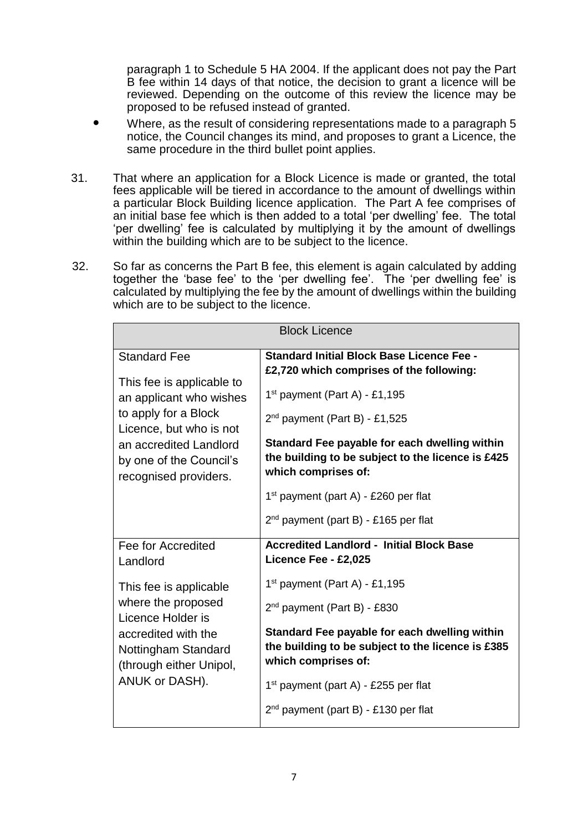paragraph 1 to Schedule 5 HA 2004. If the applicant does not pay the Part B fee within 14 days of that notice, the decision to grant a licence will be reviewed. Depending on the outcome of this review the licence may be proposed to be refused instead of granted.

- Where, as the result of considering representations made to a paragraph 5 notice, the Council changes its mind, and proposes to grant a Licence, the same procedure in the third bullet point applies.
- 31. That where an application for a Block Licence is made or granted, the total fees applicable will be tiered in accordance to the amount of dwellings within a particular Block Building licence application. The Part A fee comprises of an initial base fee which is then added to a total 'per dwelling' fee. The total 'per dwelling' fee is calculated by multiplying it by the amount of dwellings within the building which are to be subject to the licence.
- 32. So far as concerns the Part B fee, this element is again calculated by adding together the 'base fee' to the 'per dwelling fee'. The 'per dwelling fee' is calculated by multiplying the fee by the amount of dwellings within the building which are to be subject to the licence.

| <b>Block Licence</b>                                                                                                                                                                                         |                                                                                                                                                                                                                                                                                                 |  |  |
|--------------------------------------------------------------------------------------------------------------------------------------------------------------------------------------------------------------|-------------------------------------------------------------------------------------------------------------------------------------------------------------------------------------------------------------------------------------------------------------------------------------------------|--|--|
| <b>Standard Fee</b><br>This fee is applicable to<br>an applicant who wishes<br>to apply for a Block<br>Licence, but who is not<br>an accredited Landlord<br>by one of the Council's<br>recognised providers. | <b>Standard Initial Block Base Licence Fee -</b><br>£2,720 which comprises of the following:<br>$1st$ payment (Part A) - £1,195<br>$2nd$ payment (Part B) - £1,525<br>Standard Fee payable for each dwelling within<br>the building to be subject to the licence is £425<br>which comprises of: |  |  |
|                                                                                                                                                                                                              | $1st$ payment (part A) - £260 per flat<br>$2nd$ payment (part B) - £165 per flat<br><b>Accredited Landlord - Initial Block Base</b>                                                                                                                                                             |  |  |
| Fee for Accredited<br>Landlord                                                                                                                                                                               | Licence Fee - £2,025                                                                                                                                                                                                                                                                            |  |  |
| This fee is applicable<br>where the proposed<br>Licence Holder is<br>accredited with the<br>Nottingham Standard<br>(through either Unipol,<br>ANUK or DASH).                                                 | $1st$ payment (Part A) - £1,195<br>2 <sup>nd</sup> payment (Part B) - £830<br>Standard Fee payable for each dwelling within<br>the building to be subject to the licence is £385<br>which comprises of:<br>$1st$ payment (part A) - £255 per flat                                               |  |  |
|                                                                                                                                                                                                              | $2nd$ payment (part B) - £130 per flat                                                                                                                                                                                                                                                          |  |  |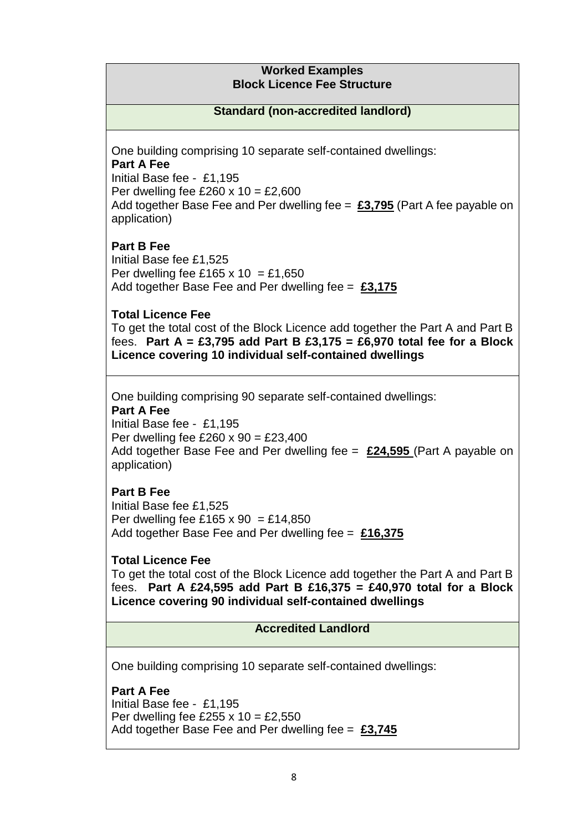### **Worked Examples Block Licence Fee Structure**

# **Standard (non-accredited landlord)**

One building comprising 10 separate self-contained dwellings: **Part A Fee** Initial Base fee - £1,195 Per dwelling fee £260  $\times$  10 = £2,600 Add together Base Fee and Per dwelling fee = **£3,795** (Part A fee payable on application)

# **Part B Fee**

Initial Base fee £1,525 Per dwelling fee £165 x 10 = £1,650 Add together Base Fee and Per dwelling fee = **£3,175**

# **Total Licence Fee**

To get the total cost of the Block Licence add together the Part A and Part B fees. **Part A = £3,795 add Part B £3,175 = £6,970 total fee for a Block Licence covering 10 individual self-contained dwellings**

One building comprising 90 separate self-contained dwellings:

# **Part A Fee**

Initial Base fee - £1,195 Per dwelling fee £260 x  $90 = \text{\textsterling}23.400$ Add together Base Fee and Per dwelling fee = **£24,595** (Part A payable on application)

# **Part B Fee**

Initial Base fee £1,525 Per dwelling fee £165 x 90 = £14,850 Add together Base Fee and Per dwelling fee = **£16,375**

# **Total Licence Fee**

To get the total cost of the Block Licence add together the Part A and Part B fees. **Part A £24,595 add Part B £16,375 = £40,970 total for a Block Licence covering 90 individual self-contained dwellings**

# **Accredited Landlord**

One building comprising 10 separate self-contained dwellings:

**Part A Fee** Initial Base fee - £1,195 Per dwelling fee £255 x  $10 = \text{\textsterling}2,550$ Add together Base Fee and Per dwelling fee = **£3,745**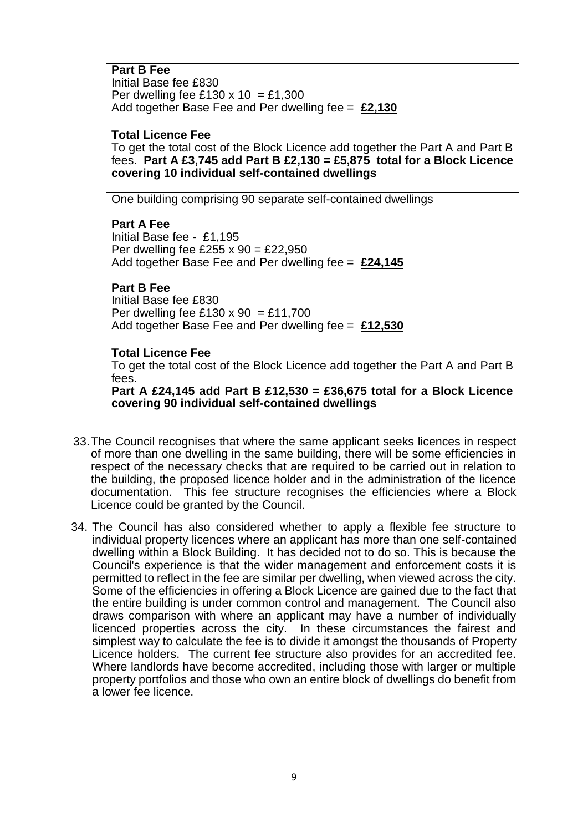| <b>Part B Fee</b>                                     |
|-------------------------------------------------------|
| Initial Base fee £830                                 |
| Per dwelling fee £130 x 10 = £1,300                   |
| Add together Base Fee and Per dwelling fee = $£2,130$ |

#### **Total Licence Fee**

To get the total cost of the Block Licence add together the Part A and Part B fees. **Part A £3,745 add Part B £2,130 = £5,875 total for a Block Licence covering 10 individual self-contained dwellings**

One building comprising 90 separate self-contained dwellings

#### **Part A Fee**

Initial Base fee - £1,195 Per dwelling fee £255 x 90 = £22,950 Add together Base Fee and Per dwelling fee = **£24,145**

# **Part B Fee**

Initial Base fee £830 Per dwelling fee £130 x 90 = £11,700 Add together Base Fee and Per dwelling fee = **£12,530**

### **Total Licence Fee**

To get the total cost of the Block Licence add together the Part A and Part B fees.

**Part A £24,145 add Part B £12,530 = £36,675 total for a Block Licence covering 90 individual self-contained dwellings**

- 33.The Council recognises that where the same applicant seeks licences in respect of more than one dwelling in the same building, there will be some efficiencies in respect of the necessary checks that are required to be carried out in relation to the building, the proposed licence holder and in the administration of the licence documentation. This fee structure recognises the efficiencies where a Block Licence could be granted by the Council.
- 34. The Council has also considered whether to apply a flexible fee structure to individual property licences where an applicant has more than one self-contained dwelling within a Block Building. It has decided not to do so. This is because the Council's experience is that the wider management and enforcement costs it is permitted to reflect in the fee are similar per dwelling, when viewed across the city. Some of the efficiencies in offering a Block Licence are gained due to the fact that the entire building is under common control and management. The Council also draws comparison with where an applicant may have a number of individually licenced properties across the city. In these circumstances the fairest and simplest way to calculate the fee is to divide it amongst the thousands of Property Licence holders. The current fee structure also provides for an accredited fee. Where landlords have become accredited, including those with larger or multiple property portfolios and those who own an entire block of dwellings do benefit from a lower fee licence.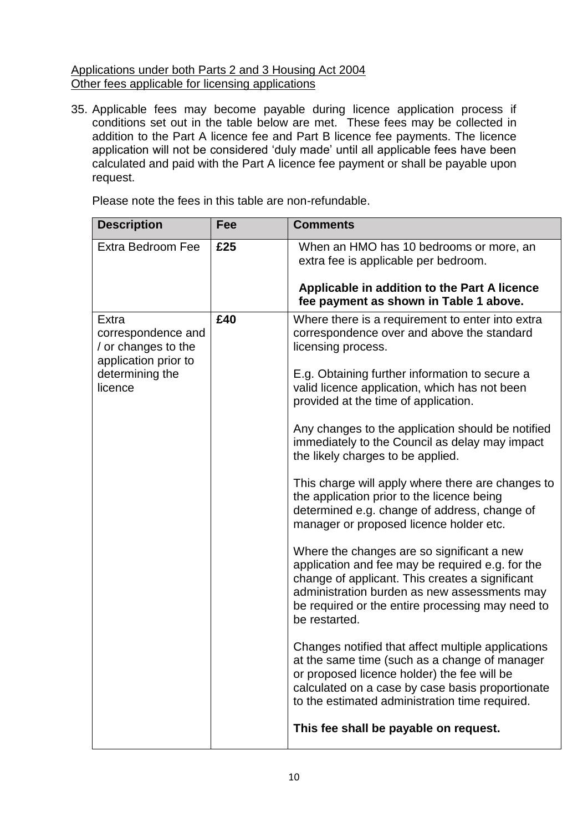# Applications under both Parts 2 and 3 Housing Act 2004 Other fees applicable for licensing applications

35. Applicable fees may become payable during licence application process if conditions set out in the table below are met. These fees may be collected in addition to the Part A licence fee and Part B licence fee payments. The licence application will not be considered 'duly made' until all applicable fees have been calculated and paid with the Part A licence fee payment or shall be payable upon request.

Please note the fees in this table are non-refundable.

| <b>Description</b>                                                         | Fee | <b>Comments</b>                                                                                                                                                                                                                                                        |
|----------------------------------------------------------------------------|-----|------------------------------------------------------------------------------------------------------------------------------------------------------------------------------------------------------------------------------------------------------------------------|
| <b>Extra Bedroom Fee</b>                                                   | £25 | When an HMO has 10 bedrooms or more, an<br>extra fee is applicable per bedroom.<br>Applicable in addition to the Part A licence                                                                                                                                        |
|                                                                            |     | fee payment as shown in Table 1 above.                                                                                                                                                                                                                                 |
| Extra<br>correspondence and<br>/ or changes to the<br>application prior to | £40 | Where there is a requirement to enter into extra<br>correspondence over and above the standard<br>licensing process.                                                                                                                                                   |
| determining the<br>licence                                                 |     | E.g. Obtaining further information to secure a<br>valid licence application, which has not been<br>provided at the time of application.                                                                                                                                |
|                                                                            |     | Any changes to the application should be notified<br>immediately to the Council as delay may impact<br>the likely charges to be applied.                                                                                                                               |
|                                                                            |     | This charge will apply where there are changes to<br>the application prior to the licence being<br>determined e.g. change of address, change of<br>manager or proposed licence holder etc.                                                                             |
|                                                                            |     | Where the changes are so significant a new<br>application and fee may be required e.g. for the<br>change of applicant. This creates a significant<br>administration burden as new assessments may<br>be required or the entire processing may need to<br>be restarted. |
|                                                                            |     | Changes notified that affect multiple applications<br>at the same time (such as a change of manager<br>or proposed licence holder) the fee will be<br>calculated on a case by case basis proportionate<br>to the estimated administration time required.               |
|                                                                            |     | This fee shall be payable on request.                                                                                                                                                                                                                                  |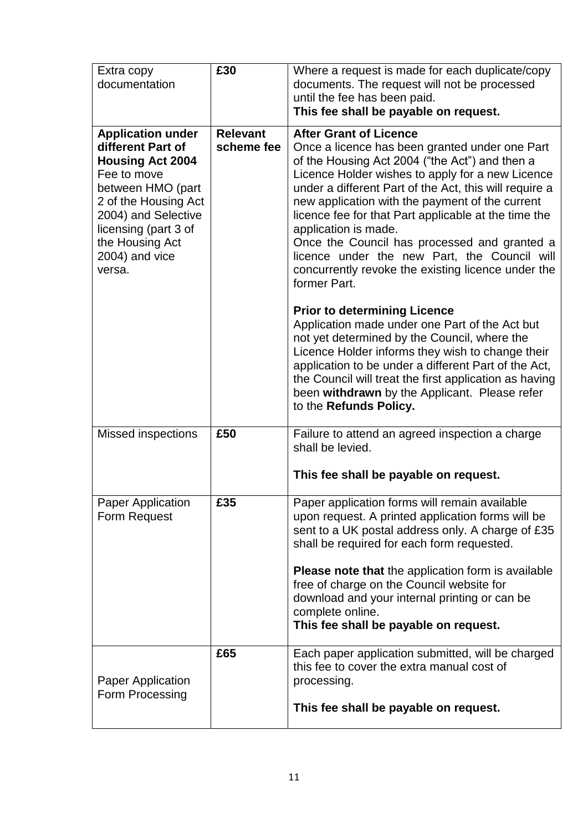| Extra copy<br>documentation                                                                                                                                                                                                        | £30                           | Where a request is made for each duplicate/copy<br>documents. The request will not be processed<br>until the fee has been paid.<br>This fee shall be payable on request.                                                                                                                                                                                                                                                                                                                                                                                 |  |
|------------------------------------------------------------------------------------------------------------------------------------------------------------------------------------------------------------------------------------|-------------------------------|----------------------------------------------------------------------------------------------------------------------------------------------------------------------------------------------------------------------------------------------------------------------------------------------------------------------------------------------------------------------------------------------------------------------------------------------------------------------------------------------------------------------------------------------------------|--|
| <b>Application under</b><br>different Part of<br><b>Housing Act 2004</b><br>Fee to move<br>between HMO (part<br>2 of the Housing Act<br>2004) and Selective<br>licensing (part 3 of<br>the Housing Act<br>2004) and vice<br>versa. | <b>Relevant</b><br>scheme fee | <b>After Grant of Licence</b><br>Once a licence has been granted under one Part<br>of the Housing Act 2004 ("the Act") and then a<br>Licence Holder wishes to apply for a new Licence<br>under a different Part of the Act, this will require a<br>new application with the payment of the current<br>licence fee for that Part applicable at the time the<br>application is made.<br>Once the Council has processed and granted a<br>licence under the new Part, the Council will<br>concurrently revoke the existing licence under the<br>former Part. |  |
|                                                                                                                                                                                                                                    |                               | <b>Prior to determining Licence</b><br>Application made under one Part of the Act but<br>not yet determined by the Council, where the<br>Licence Holder informs they wish to change their<br>application to be under a different Part of the Act,<br>the Council will treat the first application as having<br>been withdrawn by the Applicant. Please refer<br>to the Refunds Policy.                                                                                                                                                                   |  |
| <b>Missed inspections</b>                                                                                                                                                                                                          | £50                           | Failure to attend an agreed inspection a charge<br>shall be levied.<br>This fee shall be payable on request.                                                                                                                                                                                                                                                                                                                                                                                                                                             |  |
| <b>Paper Application</b><br>Form Request                                                                                                                                                                                           | £35                           | Paper application forms will remain available<br>upon request. A printed application forms will be<br>sent to a UK postal address only. A charge of £35<br>shall be required for each form requested.<br><b>Please note that the application form is available</b><br>free of charge on the Council website for<br>download and your internal printing or can be<br>complete online.<br>This fee shall be payable on request.                                                                                                                            |  |
| Paper Application<br>Form Processing                                                                                                                                                                                               | £65                           | Each paper application submitted, will be charged<br>this fee to cover the extra manual cost of<br>processing.<br>This fee shall be payable on request.                                                                                                                                                                                                                                                                                                                                                                                                  |  |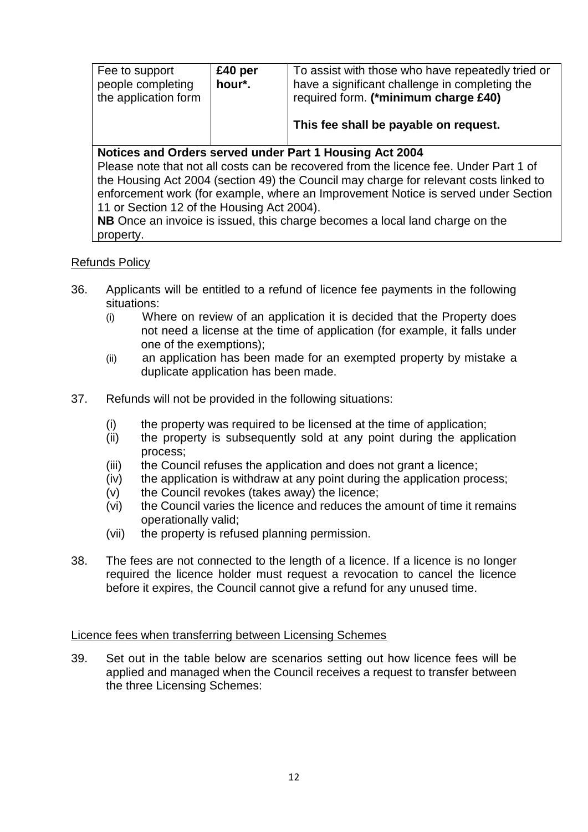| Fee to support<br>people completing<br>the application form                           | £40 per<br>hour*. | To assist with those who have repeatedly tried or<br>have a significant challenge in completing the<br>required form. (*minimum charge £40)<br>This fee shall be payable on request. |  |
|---------------------------------------------------------------------------------------|-------------------|--------------------------------------------------------------------------------------------------------------------------------------------------------------------------------------|--|
|                                                                                       |                   | Notices and Orders served under Part 1 Housing Act 2004                                                                                                                              |  |
| Please note that not all costs can be recovered from the licence fee. Under Part 1 of |                   |                                                                                                                                                                                      |  |
| the Housing Act 2004 (section 49) the Council may charge for relevant costs linked to |                   |                                                                                                                                                                                      |  |
| enforcement work (for example, where an Improvement Notice is served under Section    |                   |                                                                                                                                                                                      |  |
| 11 or Section 12 of the Housing Act 2004).                                            |                   |                                                                                                                                                                                      |  |
| NB Once an invoice is issued, this charge becomes a local land charge on the          |                   |                                                                                                                                                                                      |  |
| property.                                                                             |                   |                                                                                                                                                                                      |  |

# Refunds Policy

- 36. Applicants will be entitled to a refund of licence fee payments in the following situations:
	- (i) Where on review of an application it is decided that the Property does not need a license at the time of application (for example, it falls under one of the exemptions);
	- (ii) an application has been made for an exempted property by mistake a duplicate application has been made.
- 37. Refunds will not be provided in the following situations:
	- (i) the property was required to be licensed at the time of application;
	- (ii) the property is subsequently sold at any point during the application process;
	- (iii) the Council refuses the application and does not grant a licence;
	- (iv) the application is withdraw at any point during the application process;
	- $(v)$  the Council revokes (takes away) the licence;
	- (vi) the Council varies the licence and reduces the amount of time it remains operationally valid;
	- (vii) the property is refused planning permission.
- 38. The fees are not connected to the length of a licence. If a licence is no longer required the licence holder must request a revocation to cancel the licence before it expires, the Council cannot give a refund for any unused time.

#### Licence fees when transferring between Licensing Schemes

39. Set out in the table below are scenarios setting out how licence fees will be applied and managed when the Council receives a request to transfer between the three Licensing Schemes: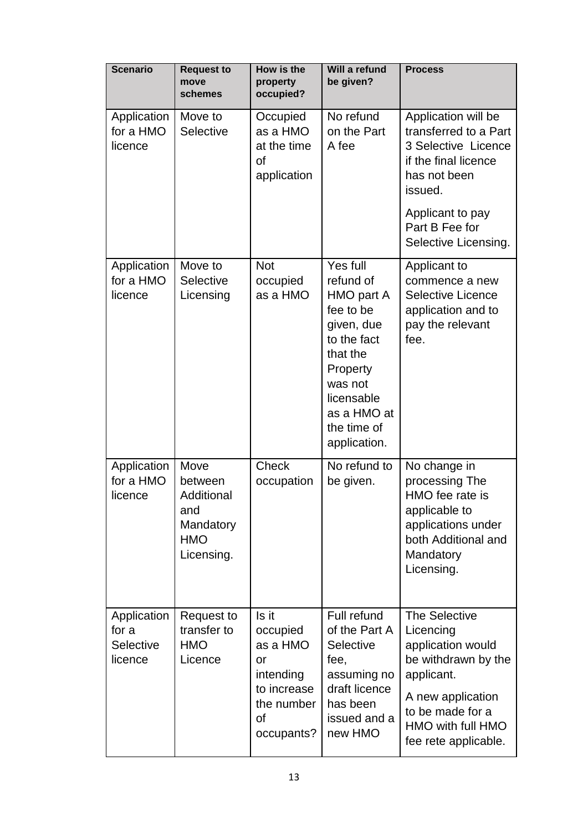| <b>Scenario</b>                              | <b>Request to</b><br>move<br>schemes                                          | How is the<br>property<br>occupied?                                                               | Will a refund<br>be given?                                                                                                                                                   | <b>Process</b>                                                                                                                                                             |
|----------------------------------------------|-------------------------------------------------------------------------------|---------------------------------------------------------------------------------------------------|------------------------------------------------------------------------------------------------------------------------------------------------------------------------------|----------------------------------------------------------------------------------------------------------------------------------------------------------------------------|
| Application<br>for a HMO<br>licence          | Move to<br>Selective                                                          | Occupied<br>as a HMO<br>at the time<br><b>of</b><br>application                                   | No refund<br>on the Part<br>A fee                                                                                                                                            | Application will be<br>transferred to a Part<br>3 Selective Licence<br>if the final licence<br>has not been<br>issued.<br>Applicant to pay                                 |
|                                              |                                                                               |                                                                                                   |                                                                                                                                                                              | Part B Fee for<br>Selective Licensing.                                                                                                                                     |
| Application<br>for a HMO<br>licence          | Move to<br>Selective<br>Licensing                                             | <b>Not</b><br>occupied<br>as a HMO                                                                | Yes full<br>refund of<br>HMO part A<br>fee to be<br>given, due<br>to the fact<br>that the<br>Property<br>was not<br>licensable<br>as a HMO at<br>the time of<br>application. | Applicant to<br>commence a new<br><b>Selective Licence</b><br>application and to<br>pay the relevant<br>fee.                                                               |
| Application<br>for a HMO<br>licence          | Move<br>between<br>Additional<br>and<br>Mandatory<br><b>HMO</b><br>Licensing. | <b>Check</b><br>occupation                                                                        | No refund to<br>be given.                                                                                                                                                    | No change in<br>processing The<br>HMO fee rate is<br>applicable to<br>applications under<br>both Additional and<br>Mandatory<br>Licensing.                                 |
| Application<br>for a<br>Selective<br>licence | Request to<br>transfer to<br><b>HMO</b><br>Licence                            | Is it<br>occupied<br>as a HMO<br>or<br>intending<br>to increase<br>the number<br>of<br>occupants? | Full refund<br>of the Part A<br>Selective<br>fee,<br>assuming no<br>draft licence<br>has been<br>issued and a<br>new HMO                                                     | The Selective<br>Licencing<br>application would<br>be withdrawn by the<br>applicant.<br>A new application<br>to be made for a<br>HMO with full HMO<br>fee rete applicable. |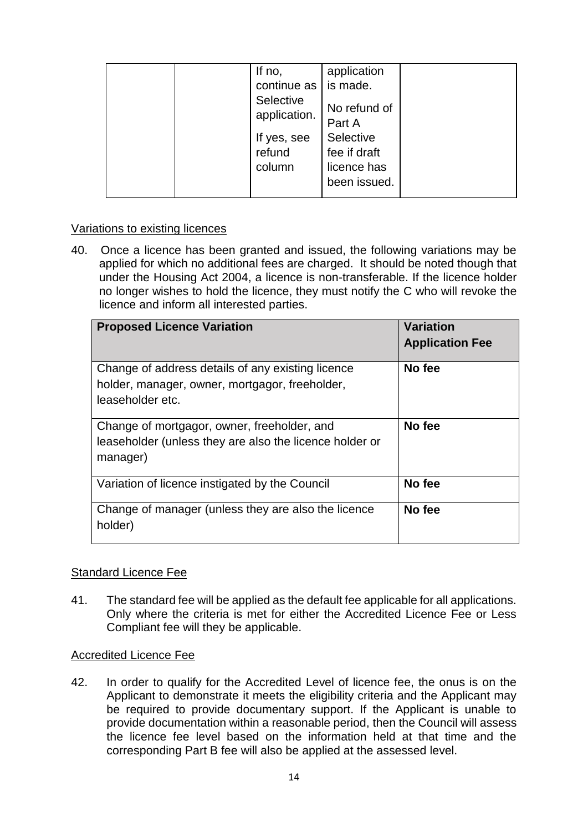| Selective<br>No refund of<br>application.<br>Part A<br>Selective<br>If yes, see<br>refund<br>fee if draft<br>licence has<br>column<br>been issued. |
|----------------------------------------------------------------------------------------------------------------------------------------------------|
|----------------------------------------------------------------------------------------------------------------------------------------------------|

# Variations to existing licences

40. Once a licence has been granted and issued, the following variations may be applied for which no additional fees are charged. It should be noted though that under the Housing Act 2004, a licence is non-transferable. If the licence holder no longer wishes to hold the licence, they must notify the C who will revoke the licence and inform all interested parties.

| <b>Proposed Licence Variation</b>                                                                                       | <b>Variation</b><br><b>Application Fee</b> |
|-------------------------------------------------------------------------------------------------------------------------|--------------------------------------------|
| Change of address details of any existing licence<br>holder, manager, owner, mortgagor, freeholder,<br>leaseholder etc. | No fee                                     |
| Change of mortgagor, owner, freeholder, and<br>leaseholder (unless they are also the licence holder or<br>manager)      | No fee                                     |
| Variation of licence instigated by the Council                                                                          | No fee                                     |
| Change of manager (unless they are also the licence<br>holder)                                                          | No fee                                     |

# Standard Licence Fee

41. The standard fee will be applied as the default fee applicable for all applications. Only where the criteria is met for either the Accredited Licence Fee or Less Compliant fee will they be applicable.

#### Accredited Licence Fee

42. In order to qualify for the Accredited Level of licence fee, the onus is on the Applicant to demonstrate it meets the eligibility criteria and the Applicant may be required to provide documentary support. If the Applicant is unable to provide documentation within a reasonable period, then the Council will assess the licence fee level based on the information held at that time and the corresponding Part B fee will also be applied at the assessed level.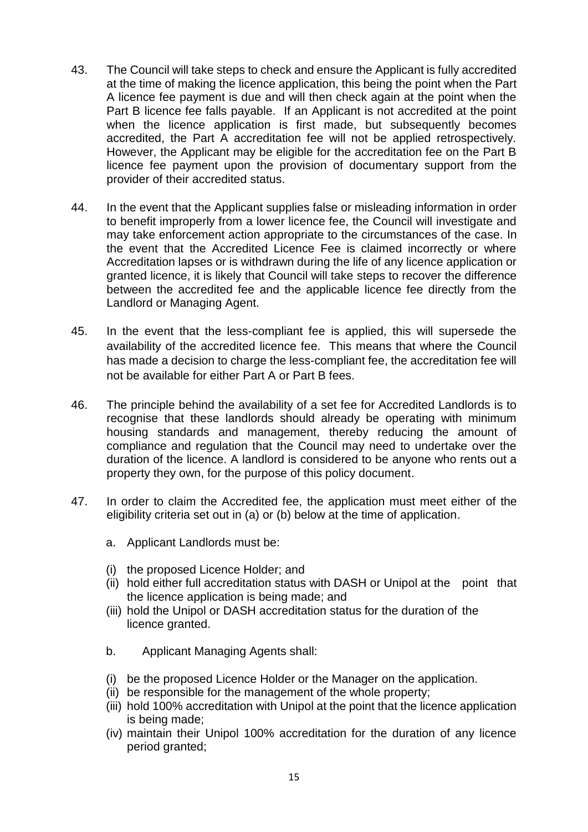- 43. The Council will take steps to check and ensure the Applicant is fully accredited at the time of making the licence application, this being the point when the Part A licence fee payment is due and will then check again at the point when the Part B licence fee falls payable. If an Applicant is not accredited at the point when the licence application is first made, but subsequently becomes accredited, the Part A accreditation fee will not be applied retrospectively. However, the Applicant may be eligible for the accreditation fee on the Part B licence fee payment upon the provision of documentary support from the provider of their accredited status.
- 44. In the event that the Applicant supplies false or misleading information in order to benefit improperly from a lower licence fee, the Council will investigate and may take enforcement action appropriate to the circumstances of the case. In the event that the Accredited Licence Fee is claimed incorrectly or where Accreditation lapses or is withdrawn during the life of any licence application or granted licence, it is likely that Council will take steps to recover the difference between the accredited fee and the applicable licence fee directly from the Landlord or Managing Agent.
- 45. In the event that the less-compliant fee is applied, this will supersede the availability of the accredited licence fee. This means that where the Council has made a decision to charge the less-compliant fee, the accreditation fee will not be available for either Part A or Part B fees.
- 46. The principle behind the availability of a set fee for Accredited Landlords is to recognise that these landlords should already be operating with minimum housing standards and management, thereby reducing the amount of compliance and regulation that the Council may need to undertake over the duration of the licence. A landlord is considered to be anyone who rents out a property they own, for the purpose of this policy document.
- 47. In order to claim the Accredited fee, the application must meet either of the eligibility criteria set out in (a) or (b) below at the time of application.
	- a. Applicant Landlords must be:
	- (i) the proposed Licence Holder; and
	- (ii) hold either full accreditation status with DASH or Unipol at the point that the licence application is being made; and
	- (iii) hold the Unipol or DASH accreditation status for the duration of the licence granted.
	- b. Applicant Managing Agents shall:
	- (i) be the proposed Licence Holder or the Manager on the application.
	- (ii) be responsible for the management of the whole property;
	- (iii) hold 100% accreditation with Unipol at the point that the licence application is being made;
	- (iv) maintain their Unipol 100% accreditation for the duration of any licence period granted;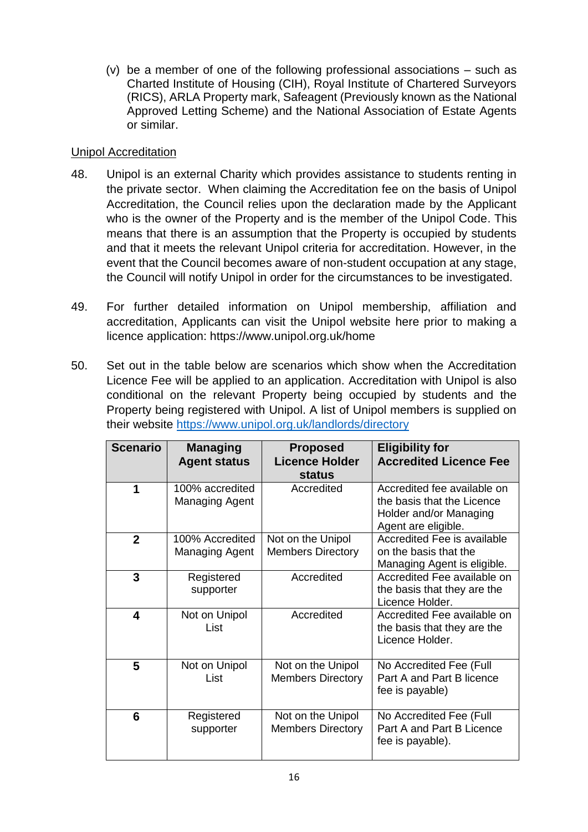(v) be a member of one of the following professional associations – such as Charted Institute of Housing (CIH), Royal Institute of Chartered Surveyors (RICS), ARLA Property mark, Safeagent (Previously known as the National Approved Letting Scheme) and the National Association of Estate Agents or similar.

# Unipol Accreditation

- 48. Unipol is an external Charity which provides assistance to students renting in the private sector. When claiming the Accreditation fee on the basis of Unipol Accreditation, the Council relies upon the declaration made by the Applicant who is the owner of the Property and is the member of the Unipol Code. This means that there is an assumption that the Property is occupied by students and that it meets the relevant Unipol criteria for accreditation. However, in the event that the Council becomes aware of non-student occupation at any stage, the Council will notify Unipol in order for the circumstances to be investigated.
- 49. For further detailed information on Unipol membership, affiliation and accreditation, Applicants can visit the Unipol website here prior to making a licence application: https://www.unipol.org.uk/home
- 50. Set out in the table below are scenarios which show when the Accreditation Licence Fee will be applied to an application. Accreditation with Unipol is also conditional on the relevant Property being occupied by students and the Property being registered with Unipol. A list of Unipol members is supplied on their website <https://www.unipol.org.uk/landlords/directory>

| <b>Scenario</b>         | <b>Managing</b><br><b>Agent status</b>   | <b>Proposed</b><br><b>Licence Holder</b><br><b>status</b> | <b>Eligibility for</b><br><b>Accredited Licence Fee</b>                                                    |
|-------------------------|------------------------------------------|-----------------------------------------------------------|------------------------------------------------------------------------------------------------------------|
| 1                       | 100% accredited<br><b>Managing Agent</b> | Accredited                                                | Accredited fee available on<br>the basis that the Licence<br>Holder and/or Managing<br>Agent are eligible. |
| $\overline{2}$          | 100% Accredited<br><b>Managing Agent</b> | Not on the Unipol<br><b>Members Directory</b>             | Accredited Fee is available<br>on the basis that the<br>Managing Agent is eligible.                        |
| $\mathbf{3}$            | Registered<br>supporter                  | Accredited                                                | Accredited Fee available on<br>the basis that they are the<br>Licence Holder.                              |
| $\overline{\mathbf{4}}$ | Not on Unipol<br>List                    | Accredited                                                | Accredited Fee available on<br>the basis that they are the<br>Licence Holder.                              |
| 5                       | Not on Unipol<br>List                    | Not on the Unipol<br><b>Members Directory</b>             | No Accredited Fee (Full<br>Part A and Part B licence<br>fee is payable)                                    |
| 6                       | Registered<br>supporter                  | Not on the Unipol<br><b>Members Directory</b>             | No Accredited Fee (Full<br>Part A and Part B Licence<br>fee is payable).                                   |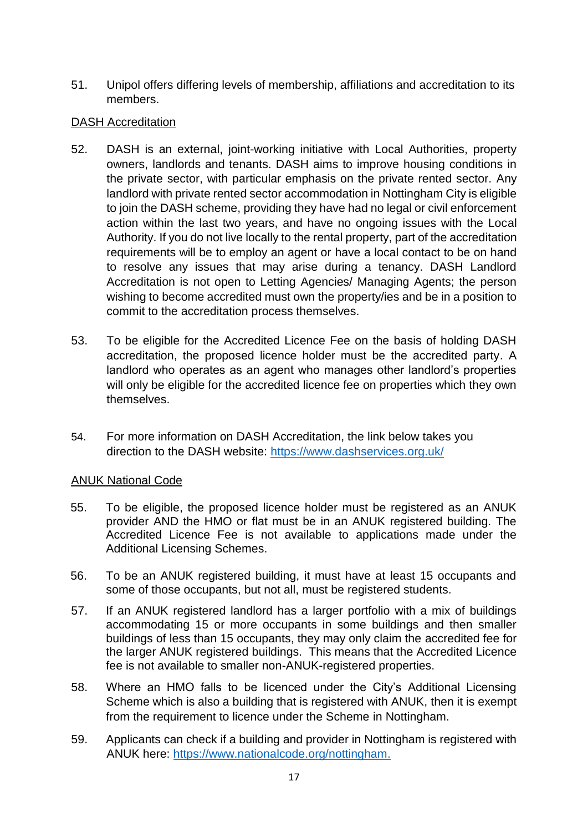51. Unipol offers differing levels of membership, affiliations and accreditation to its members.

# DASH Accreditation

- 52. DASH is an external, joint-working initiative with Local Authorities, property owners, landlords and tenants. DASH aims to improve housing conditions in the private sector, with particular emphasis on the private rented sector. Any landlord with private rented sector accommodation in Nottingham City is eligible to join the DASH scheme, providing they have had no legal or civil enforcement action within the last two years, and have no ongoing issues with the Local Authority. If you do not live locally to the rental property, part of the accreditation requirements will be to employ an agent or have a local contact to be on hand to resolve any issues that may arise during a tenancy. DASH Landlord Accreditation is not open to Letting Agencies/ Managing Agents; the person wishing to become accredited must own the property/ies and be in a position to commit to the accreditation process themselves.
- 53. To be eligible for the Accredited Licence Fee on the basis of holding DASH accreditation, the proposed licence holder must be the accredited party. A landlord who operates as an agent who manages other landlord's properties will only be eligible for the accredited licence fee on properties which they own themselves.
- 54. For more information on DASH Accreditation, the link below takes you direction to the DASH website: https://www.dashservices.org.uk/

# ANUK National Code

- 55. To be eligible, the proposed licence holder must be registered as an ANUK provider AND the HMO or flat must be in an ANUK registered building. The Accredited Licence Fee is not available to applications made under the Additional Licensing Schemes.
- 56. To be an ANUK registered building, it must have at least 15 occupants and some of those occupants, but not all, must be registered students.
- 57. If an ANUK registered landlord has a larger portfolio with a mix of buildings accommodating 15 or more occupants in some buildings and then smaller buildings of less than 15 occupants, they may only claim the accredited fee for the larger ANUK registered buildings. This means that the Accredited Licence fee is not available to smaller non-ANUK-registered properties.
- 58. Where an HMO falls to be licenced under the City's Additional Licensing Scheme which is also a building that is registered with ANUK, then it is exempt from the requirement to licence under the Scheme in Nottingham.
- 59. Applicants can check if a building and provider in Nottingham is registered with ANUK here: [https://www.nationalcode.org/nottingham.](https://www.nationalcode.org/nottingham)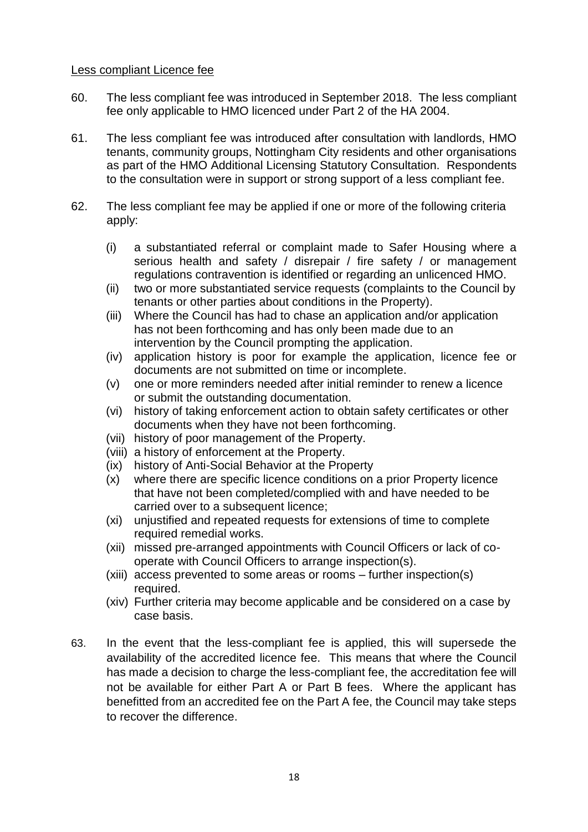### Less compliant Licence fee

- 60. The less compliant fee was introduced in September 2018. The less compliant fee only applicable to HMO licenced under Part 2 of the HA 2004.
- 61. The less compliant fee was introduced after consultation with landlords, HMO tenants, community groups, Nottingham City residents and other organisations as part of the HMO Additional Licensing Statutory Consultation. Respondents to the consultation were in support or strong support of a less compliant fee.
- 62. The less compliant fee may be applied if one or more of the following criteria apply:
	- (i) a substantiated referral or complaint made to Safer Housing where a serious health and safety / disrepair / fire safety / or management regulations contravention is identified or regarding an unlicenced HMO.
	- (ii) two or more substantiated service requests (complaints to the Council by tenants or other parties about conditions in the Property).
	- (iii) Where the Council has had to chase an application and/or application has not been forthcoming and has only been made due to an intervention by the Council prompting the application.
	- (iv) application history is poor for example the application, licence fee or documents are not submitted on time or incomplete.
	- (v) one or more reminders needed after initial reminder to renew a licence or submit the outstanding documentation.
	- (vi) history of taking enforcement action to obtain safety certificates or other documents when they have not been forthcoming.
	- (vii) history of poor management of the Property.
	- (viii) a history of enforcement at the Property.
	- (ix) history of Anti-Social Behavior at the Property
	- (x) where there are specific licence conditions on a prior Property licence that have not been completed/complied with and have needed to be carried over to a subsequent licence:
	- (xi) unjustified and repeated requests for extensions of time to complete required remedial works.
	- (xii) missed pre-arranged appointments with Council Officers or lack of cooperate with Council Officers to arrange inspection(s).
	- (xiii) access prevented to some areas or rooms further inspection(s) required.
	- (xiv) Further criteria may become applicable and be considered on a case by case basis.
- 63. In the event that the less-compliant fee is applied, this will supersede the availability of the accredited licence fee. This means that where the Council has made a decision to charge the less-compliant fee, the accreditation fee will not be available for either Part A or Part B fees. Where the applicant has benefitted from an accredited fee on the Part A fee, the Council may take steps to recover the difference.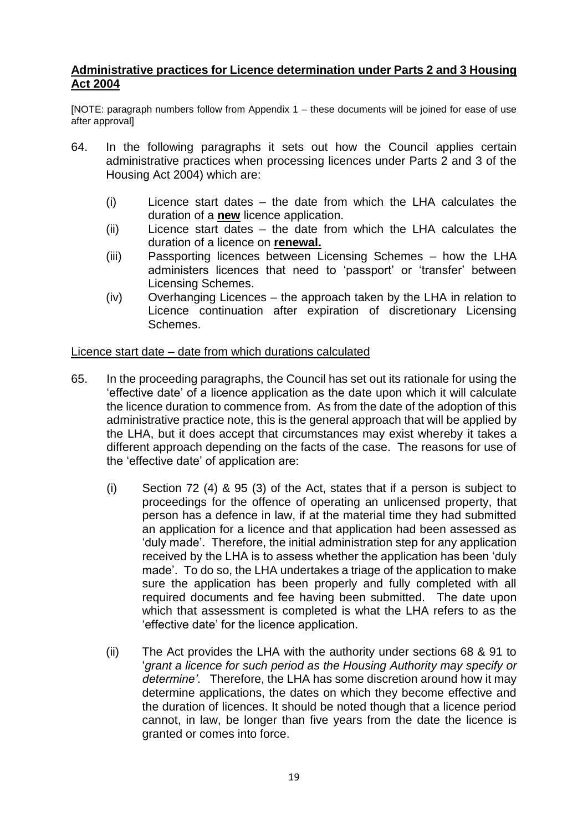# **Administrative practices for Licence determination under Parts 2 and 3 Housing Act 2004**

[NOTE: paragraph numbers follow from Appendix 1 – these documents will be joined for ease of use after approval]

- 64. In the following paragraphs it sets out how the Council applies certain administrative practices when processing licences under Parts 2 and 3 of the Housing Act 2004) which are:
	- (i) Licence start dates the date from which the LHA calculates the duration of a **new** licence application.
	- (ii) Licence start dates the date from which the LHA calculates the duration of a licence on **renewal.**
	- (iii) Passporting licences between Licensing Schemes how the LHA administers licences that need to 'passport' or 'transfer' between Licensing Schemes.
	- (iv) Overhanging Licences the approach taken by the LHA in relation to Licence continuation after expiration of discretionary Licensing Schemes.

# Licence start date – date from which durations calculated

- 65. In the proceeding paragraphs, the Council has set out its rationale for using the 'effective date' of a licence application as the date upon which it will calculate the licence duration to commence from. As from the date of the adoption of this administrative practice note, this is the general approach that will be applied by the LHA, but it does accept that circumstances may exist whereby it takes a different approach depending on the facts of the case. The reasons for use of the 'effective date' of application are:
	- (i) Section 72 (4) & 95 (3) of the Act, states that if a person is subject to proceedings for the offence of operating an unlicensed property, that person has a defence in law, if at the material time they had submitted an application for a licence and that application had been assessed as 'duly made'. Therefore, the initial administration step for any application received by the LHA is to assess whether the application has been 'duly made'. To do so, the LHA undertakes a triage of the application to make sure the application has been properly and fully completed with all required documents and fee having been submitted. The date upon which that assessment is completed is what the LHA refers to as the 'effective date' for the licence application.
	- (ii) The Act provides the LHA with the authority under sections 68 & 91 to '*grant a licence for such period as the Housing Authority may specify or determine'*. Therefore, the LHA has some discretion around how it may determine applications, the dates on which they become effective and the duration of licences. It should be noted though that a licence period cannot, in law, be longer than five years from the date the licence is granted or comes into force.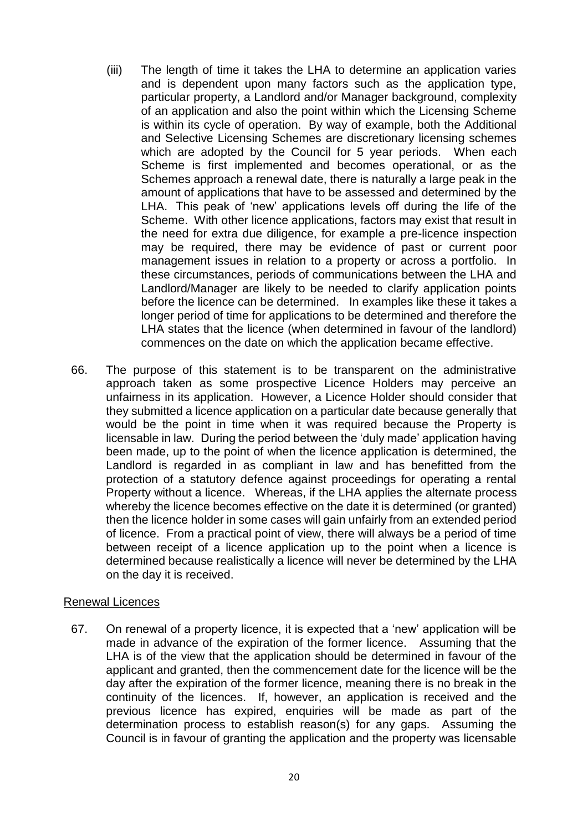- (iii) The length of time it takes the LHA to determine an application varies and is dependent upon many factors such as the application type, particular property, a Landlord and/or Manager background, complexity of an application and also the point within which the Licensing Scheme is within its cycle of operation. By way of example, both the Additional and Selective Licensing Schemes are discretionary licensing schemes which are adopted by the Council for 5 year periods. When each Scheme is first implemented and becomes operational, or as the Schemes approach a renewal date, there is naturally a large peak in the amount of applications that have to be assessed and determined by the LHA. This peak of 'new' applications levels off during the life of the Scheme. With other licence applications, factors may exist that result in the need for extra due diligence, for example a pre-licence inspection may be required, there may be evidence of past or current poor management issues in relation to a property or across a portfolio. In these circumstances, periods of communications between the LHA and Landlord/Manager are likely to be needed to clarify application points before the licence can be determined. In examples like these it takes a longer period of time for applications to be determined and therefore the LHA states that the licence (when determined in favour of the landlord) commences on the date on which the application became effective.
- 66. The purpose of this statement is to be transparent on the administrative approach taken as some prospective Licence Holders may perceive an unfairness in its application. However, a Licence Holder should consider that they submitted a licence application on a particular date because generally that would be the point in time when it was required because the Property is licensable in law. During the period between the 'duly made' application having been made, up to the point of when the licence application is determined, the Landlord is regarded in as compliant in law and has benefitted from the protection of a statutory defence against proceedings for operating a rental Property without a licence. Whereas, if the LHA applies the alternate process whereby the licence becomes effective on the date it is determined (or granted) then the licence holder in some cases will gain unfairly from an extended period of licence. From a practical point of view, there will always be a period of time between receipt of a licence application up to the point when a licence is determined because realistically a licence will never be determined by the LHA on the day it is received.

# Renewal Licences

67. On renewal of a property licence, it is expected that a 'new' application will be made in advance of the expiration of the former licence. Assuming that the LHA is of the view that the application should be determined in favour of the applicant and granted, then the commencement date for the licence will be the day after the expiration of the former licence, meaning there is no break in the continuity of the licences. If, however, an application is received and the previous licence has expired, enquiries will be made as part of the determination process to establish reason(s) for any gaps. Assuming the Council is in favour of granting the application and the property was licensable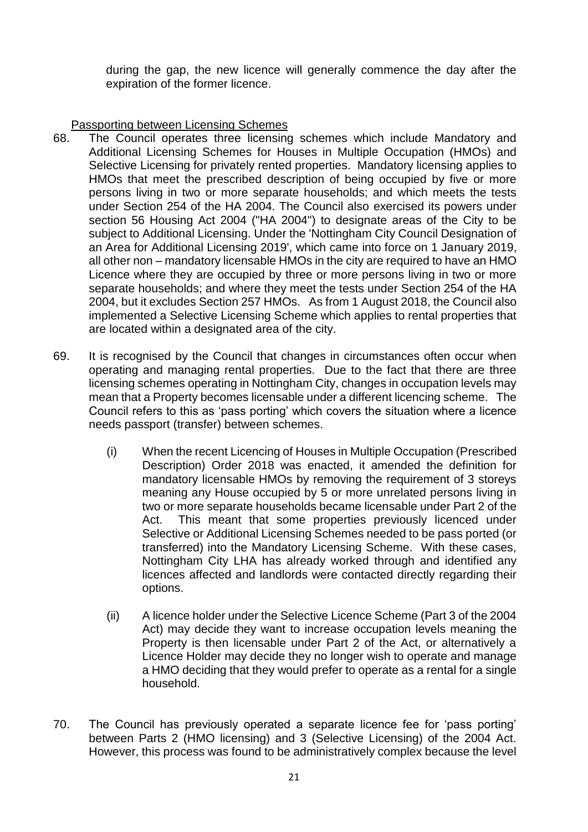during the gap, the new licence will generally commence the day after the expiration of the former licence.

Passporting between Licensing Schemes

- 68. The Council operates three licensing schemes which include Mandatory and Additional Licensing Schemes for Houses in Multiple Occupation (HMOs) and Selective Licensing for privately rented properties. Mandatory licensing applies to HMOs that meet the prescribed description of being occupied by five or more persons living in two or more separate households; and which meets the tests under Section 254 of the HA 2004. The Council also exercised its powers under section 56 Housing Act 2004 ("HA 2004") to designate areas of the City to be subject to Additional Licensing. Under the 'Nottingham City Council Designation of an Area for Additional Licensing 2019', which came into force on 1 January 2019, all other non – mandatory licensable HMOs in the city are required to have an HMO Licence where they are occupied by three or more persons living in two or more separate households; and where they meet the tests under Section 254 of the HA 2004, but it excludes Section 257 HMOs. As from 1 August 2018, the Council also implemented a Selective Licensing Scheme which applies to rental properties that are located within a designated area of the city.
- 69. It is recognised by the Council that changes in circumstances often occur when operating and managing rental properties. Due to the fact that there are three licensing schemes operating in Nottingham City, changes in occupation levels may mean that a Property becomes licensable under a different licencing scheme. The Council refers to this as 'pass porting' which covers the situation where a licence needs passport (transfer) between schemes.
	- (i) When the recent Licencing of Houses in Multiple Occupation (Prescribed Description) Order 2018 was enacted, it amended the definition for mandatory licensable HMOs by removing the requirement of 3 storeys meaning any House occupied by 5 or more unrelated persons living in two or more separate households became licensable under Part 2 of the Act. This meant that some properties previously licenced under Selective or Additional Licensing Schemes needed to be pass ported (or transferred) into the Mandatory Licensing Scheme. With these cases, Nottingham City LHA has already worked through and identified any licences affected and landlords were contacted directly regarding their options.
	- (ii) A licence holder under the Selective Licence Scheme (Part 3 of the 2004 Act) may decide they want to increase occupation levels meaning the Property is then licensable under Part 2 of the Act, or alternatively a Licence Holder may decide they no longer wish to operate and manage a HMO deciding that they would prefer to operate as a rental for a single household.
- 70. The Council has previously operated a separate licence fee for 'pass porting' between Parts 2 (HMO licensing) and 3 (Selective Licensing) of the 2004 Act. However, this process was found to be administratively complex because the level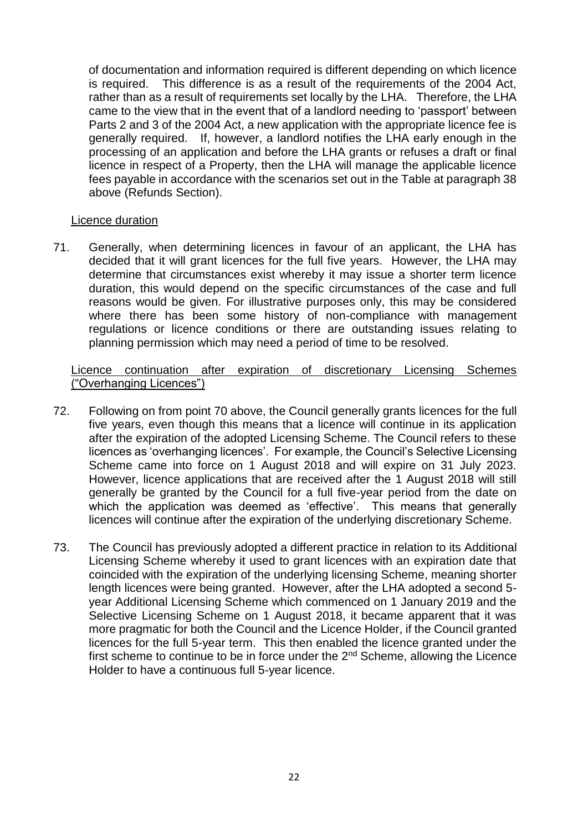of documentation and information required is different depending on which licence is required. This difference is as a result of the requirements of the 2004 Act, rather than as a result of requirements set locally by the LHA. Therefore, the LHA came to the view that in the event that of a landlord needing to 'passport' between Parts 2 and 3 of the 2004 Act, a new application with the appropriate licence fee is generally required. If, however, a landlord notifies the LHA early enough in the processing of an application and before the LHA grants or refuses a draft or final licence in respect of a Property, then the LHA will manage the applicable licence fees payable in accordance with the scenarios set out in the Table at paragraph 38 above (Refunds Section).

# Licence duration

71. Generally, when determining licences in favour of an applicant, the LHA has decided that it will grant licences for the full five years. However, the LHA may determine that circumstances exist whereby it may issue a shorter term licence duration, this would depend on the specific circumstances of the case and full reasons would be given. For illustrative purposes only, this may be considered where there has been some history of non-compliance with management regulations or licence conditions or there are outstanding issues relating to planning permission which may need a period of time to be resolved.

### Licence continuation after expiration of discretionary Licensing Schemes ("Overhanging Licences")

- 72. Following on from point 70 above, the Council generally grants licences for the full five years, even though this means that a licence will continue in its application after the expiration of the adopted Licensing Scheme. The Council refers to these licences as 'overhanging licences'. For example, the Council's Selective Licensing Scheme came into force on 1 August 2018 and will expire on 31 July 2023. However, licence applications that are received after the 1 August 2018 will still generally be granted by the Council for a full five-year period from the date on which the application was deemed as 'effective'. This means that generally licences will continue after the expiration of the underlying discretionary Scheme.
- 73. The Council has previously adopted a different practice in relation to its Additional Licensing Scheme whereby it used to grant licences with an expiration date that coincided with the expiration of the underlying licensing Scheme, meaning shorter length licences were being granted. However, after the LHA adopted a second 5 year Additional Licensing Scheme which commenced on 1 January 2019 and the Selective Licensing Scheme on 1 August 2018, it became apparent that it was more pragmatic for both the Council and the Licence Holder, if the Council granted licences for the full 5-year term. This then enabled the licence granted under the first scheme to continue to be in force under the 2<sup>nd</sup> Scheme, allowing the Licence Holder to have a continuous full 5-year licence.